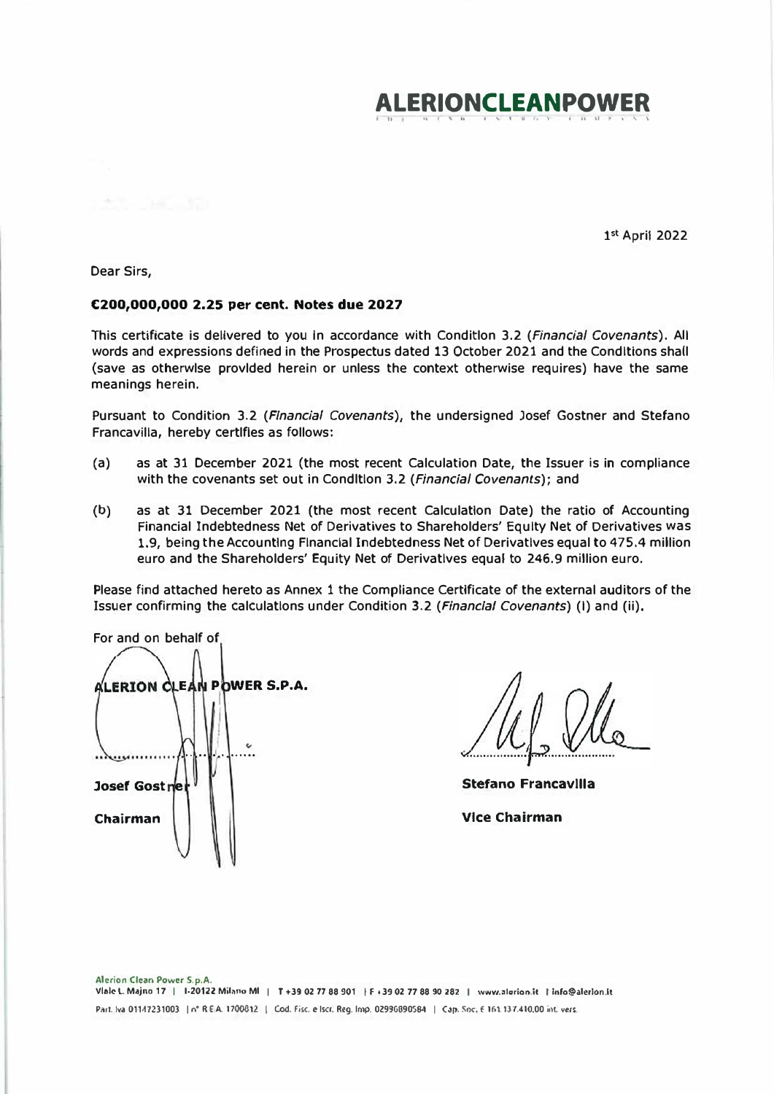

1st April 2022

Dear Sirs.

# €200,000,000 2.25 per cent. Notes due 2027

This certificate is delivered to you in accordance with Condition 3.2 (Financial Covenants). All words and expressions defined in the Prospectus dated 13 October 2021 and the Conditions shall (save as otherwise provided herein or unless the context otherwise requires) have the same meanings herein.

Pursuant to Condition 3.2 (Financial Covenants), the undersigned Josef Gostner and Stefano Francavilla, hereby certifies as follows:

- $(a)$ as at 31 December 2021 (the most recent Calculation Date, the Issuer is in compliance with the covenants set out in CondItion 3.2 (Financial Covenants); and
- $(b)$ as at 31 December 2021 (the most recent Calculation Date) the ratio of Accounting Financial Indebtedness Net of Derivatives to Shareholders' Equity Net of Derivatives was 1.9, being the Accounting Financial Indebtedness Net of Derivatives equal to 475.4 million euro and the Shareholders' Equity Net of Derivatives equal to 246.9 million euro.

Please find attached hereto as Annex 1 the Compliance Certificate of the external auditors of the Issuer confirming the calculations under Condition 3.2 (Financial Covenants) (I) and (ii),

For and on behalf of ALERION CLEAN POWER S.P.A.  $\epsilon$ Josef Gostne Chairman

**Stefano Francavilla Vice Chairman**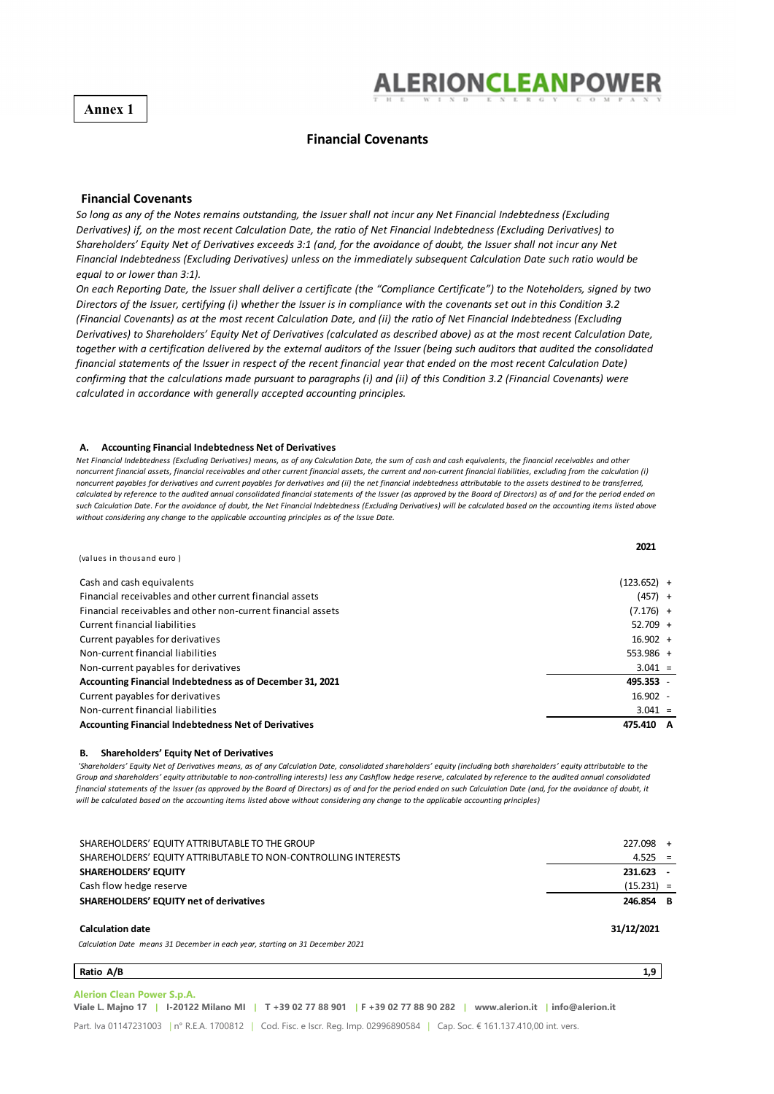**Annex 1** 



**2021**

### **Financial Covenants**

### **Financial Covenants**

So long as any of the Notes remains outstanding, the Issuer shall not incur any Net Financial Indebtedness (Excluding Derivatives) if, on the most recent Calculation Date, the ratio of Net Financial Indebtedness (Excluding Derivatives) to Shareholders' Equity Net of Derivatives exceeds 3:1 (and, for the avoidance of doubt, the Issuer shall not incur any Net Financial Indebtedness (Excluding Derivatives) unless on the immediately subsequent Calculation Date such ratio would be *equal to or lower than 3:1).*

On each Reporting Date, the Issuer shall deliver a certificate (the "Compliance Certificate") to the Noteholders, signed by two Directors of the Issuer, certifying (i) whether the Issuer is in compliance with the covenants set out in this Condition 3.2 (Financial Covenants) as at the most recent Calculation Date, and (ii) the ratio of Net Financial Indebtedness (Excluding Derivatives) to Shareholders' Equity Net of Derivatives (calculated as described above) as at the most recent Calculation Date, together with a certification delivered by the external auditors of the Issuer (being such auditors that audited the consolidated financial statements of the Issuer in respect of the recent financial year that ended on the most recent Calculation Date) confirming that the calculations made pursuant to paragraphs (i) and (ii) of this Condition 3.2 (Financial Covenants) were *calculated in accordance with generally accepted accounƟng principles.*

### **A. Accounting Financial Indebtedness Net of Derivatives**

Net Financial Indebtedness (Excludina Derivatives) means, as of any Calculation Date, the sum of cash and cash equivalents, the financial receivables and other noncurrent financial assets, financial receivables and other current financial assets, the current and non-current financial liabilities, excluding from the calculation (i) noncurrent payables for derivatives and current payables for derivatives and (ii) the net financial indebtedness attributable to the assets destined to be transferred, calculated by reference to the audited annual consolidated financial statements of the Issuer (as approved by the Board of Directors) as of and for the period ended on such Calculation Date. For the avoidance of doubt, the Net Financial Indebtedness (Excluding Derivatives) will be calculated based on the accounting items listed above *without considering any change to the applicable accounting principles as of the Issue Date.*

| (values in thousand euro)                                    | ---         |
|--------------------------------------------------------------|-------------|
| Cash and cash equivalents                                    | (123.652) + |
| Financial receivables and other current financial assets     | $(457) +$   |
| Financial receivables and other non-current financial assets | $(7.176) +$ |
| Current financial liabilities                                | $52.709 +$  |
| Current payables for derivatives                             | $16.902 +$  |
| Non-current financial liabilities                            | $553.986 +$ |
| Non-current payables for derivatives                         | $3.041 =$   |
| Accounting Financial Indebtedness as of December 31, 2021    | 495.353 -   |
| Current payables for derivatives                             | $16.902 -$  |
| Non-current financial liabilities                            | $3.041 =$   |
| <b>Accounting Financial Indebtedness Net of Derivatives</b>  | 475.410     |

#### **B. Shareholders' Equity Net of Derivatives**

'Shareholders' Equity Net of Derivatives means, as of any Calculation Date, consolidated shareholders' equity (including both shareholders' equity attributable to the Group and shareholders' equity attributable to non-controlling interests) less any Cashflow hedge reserve, calculated by reference to the audited annual consolidated financial statements of the Issuer (as approved by the Board of Directors) as of and for the period ended on such Calculation Date (and, for the avoidance of doubt, it will be calculated based on the accountina items listed above without considerina any change to the applicable accountina principles)

| SHAREHOLDERS' EQUITY ATTRIBUTABLE TO THE GROUP                                                           | $227.098 +$  |  |
|----------------------------------------------------------------------------------------------------------|--------------|--|
| SHAREHOLDERS' EQUITY ATTRIBUTABLE TO NON-CONTROLLING INTERESTS                                           | $4.525 =$    |  |
| <b>SHAREHOLDERS' EQUITY</b>                                                                              | 231.623      |  |
| Cash flow hedge reserve                                                                                  | $(15.231) =$ |  |
| <b>SHAREHOLDERS' EQUITY net of derivatives</b>                                                           | 246.854 B    |  |
| <b>Calculation date</b><br>Calculation Date means 31 December in each year, starting on 31 December 2021 | 31/12/2021   |  |

#### **Ratio A/B 1,9**

**Alerion Clean Power S.p.A. Viale L. Majno 17 | I-20122 Milano MI | T +39 02 77 88 901 | F +39 02 77 88 90 282 | www.alerion.it | info@alerion.it**